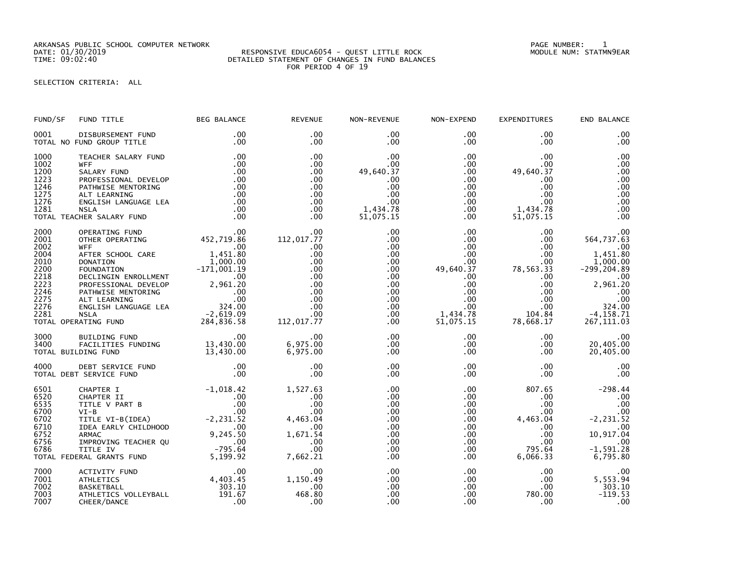ARKANSAS PUBLIC SCHOOL COMPUTER NETWORK PAGE NUMBER: 1

## SELECTION CRITERIA: ALL

| FUND/SF                                                                                      | FUND TITLE                                                                                                                                                                                                                                                                                                                                       | <b>BEG BALANCE</b>                                                                                                   | <b>REVENUE</b>                                                                                                          | NON-REVENUE                                                                                                 | NON-EXPEND                                                                                                                                  | <b>EXPENDITURES</b>                                                                                                             | END BALANCE                                                                                                                                  |
|----------------------------------------------------------------------------------------------|--------------------------------------------------------------------------------------------------------------------------------------------------------------------------------------------------------------------------------------------------------------------------------------------------------------------------------------------------|----------------------------------------------------------------------------------------------------------------------|-------------------------------------------------------------------------------------------------------------------------|-------------------------------------------------------------------------------------------------------------|---------------------------------------------------------------------------------------------------------------------------------------------|---------------------------------------------------------------------------------------------------------------------------------|----------------------------------------------------------------------------------------------------------------------------------------------|
| 0001                                                                                         | DISBURSEMENT FUND<br>TOTAL NO FUND GROUP TITLE                                                                                                                                                                                                                                                                                                   | .00<br>.00                                                                                                           | .00<br>$.00 \times$                                                                                                     | .00<br>.00                                                                                                  | $.00 \,$<br>$.00 \,$                                                                                                                        | .00<br>.00                                                                                                                      | .00<br>.00                                                                                                                                   |
| 1000<br>1002<br>1200<br>1223<br>1246<br>1275<br>1276<br>1281                                 | TEACHER SALARY FUND<br><b>WFF</b><br>SALARY FUND<br>PROFESSIONAL DEVELOP<br>PATHWISE MENTORING<br>ALT LEARNING<br>ENGLISH LANGUAGE LEA<br><b>NSLA</b><br>TOTAL TEACHER SALARY FUND                                                                                                                                                               | .00<br>.00<br>.00<br>.00<br>.00<br>.00<br>.00<br>.00<br>.00                                                          | .00<br>.00<br>$.00 \times$<br>$.00 \times$<br>$.00 \times$<br>$.00 \times$<br>.00<br>.00<br>.00                         | .00<br>.00<br>49,640.37<br>.00<br>.00<br>.00<br>.00<br>1,434.78<br>51,075.15                                | $.00 \,$<br>$.00 \,$<br>$.00 \,$<br>$.00 \,$<br>$.00 \,$<br>$.00 \,$<br>$.00 \ \,$<br>$.00 \,$<br>$.00 \,$                                  | .00<br>.00<br>49,640.37<br>.00.<br>$.00 \,$<br>.00<br>$.00 \,$<br>1,434.78<br>51,075.15                                         | .00<br>.00<br>.00<br>.00<br>.00<br>.00<br>.00<br>.00<br>.00                                                                                  |
| 2000<br>2001<br>2002<br>2004<br>2010<br>2200<br>2218<br>2223<br>2246<br>2275<br>2276<br>2281 | OPERATING FUND<br>OTHER OPERATING<br><b>WFF</b><br>AFTER SCHOOL CARE<br>ATTEN SCHOOL CARE<br>TOWN TION<br>DONATION 1,000.00<br>POUNDATION -171,001.19<br>DECLINGIN ENROLLMENT .00<br>PROFESSIONAL DEVELOP 2,961.20<br>PATHWISE MENTORING .00<br>ALT LEARNING .00<br>ENGLISH LANGUAGE LEA 324.00<br>RATING FUND 284,836.5<br>TOTAL OPERATING FUND | .00<br>452, 719. 86<br>00<br>$.00 \,$<br>1,451.80                                                                    | .00 <sub>1</sub><br>112,017.77<br>$.00 \,$<br>.00<br>.00<br>.00<br>.00<br>.00<br>.00<br>.00<br>.00<br>.00<br>112,017.77 | .00<br>.00<br>.00<br>.00<br>.00<br>.00<br>.00<br>.00<br>$.00 \,$<br>$.00 \,$<br>$.00 \,$<br>$.00 \,$<br>.00 | $.00 \,$<br>$.00 \,$<br>$.00 \,$<br>$.00 \,$<br>.00<br>49,640.37<br>.00<br>.00<br>$.00 \,$<br>$.00 \,$<br>$.00 \,$<br>1,434.78<br>51,075.15 | .00<br>$.00 \,$<br>.00<br>.00<br>$.00 \,$<br>78,563.33<br>$.00 \,$<br>.00<br>$.00 \,$<br>.00<br>$.00 \,$<br>104.84<br>78,668.17 | .00<br>564,737.63<br>.00<br>1,451.80<br>1,000.00<br>$-299, 204.89$<br>.00<br>2,961.20<br>.00<br>.00<br>324.00<br>$-4, 158.71$<br>267, 111.03 |
| 3000<br>3400                                                                                 | BUILDING FUND<br>FACILITIES FUNDING 13,430.00<br>TOTAL BUILDING FUND                                                                                                                                                                                                                                                                             | 13,430.00                                                                                                            | .00<br>6,975.00<br>6,975.00                                                                                             | .00<br>$.00 \,$<br>.00                                                                                      | $.00 \,$<br>$.00 \,$<br>.00                                                                                                                 | $.00 \,$<br>$.00 \,$<br>.00                                                                                                     | .00<br>20,405.00<br>20,405.00                                                                                                                |
| 4000                                                                                         | DEBT SERVICE FUND<br>TOTAL DEBT SERVICE FUND                                                                                                                                                                                                                                                                                                     | .00<br>.00                                                                                                           | .00<br>.00                                                                                                              | .00<br>.00                                                                                                  | $.00 \times$<br>$.00 \,$                                                                                                                    | $.00 \,$<br>.00.                                                                                                                | .00<br>.00                                                                                                                                   |
| 6501<br>6520<br>6535<br>6700<br>6702<br>6710<br>6752<br>6756<br>6786                         | CHAPTER I<br>CHAPTER II<br>TITLE V PART B<br>$VI-B$<br>TITLE VI-B(IDEA)<br>IDEA EARLY CHILDHOOD<br><b>ARMAC</b><br>IMPROVING TEACHER QU<br>TITLE IV<br>TOTAL FEDERAL GRANTS FUND                                                                                                                                                                 | $-1,018.42$<br>$^{+, 016.42}_{0.00}$<br>00.00<br>00.00<br>00.00<br>00.00 9,245.50<br>qu<br>00<br>795.64<br>5, 199.92 | 1,527.63<br>.00<br>.00<br>.00<br>4,463.04<br>.00<br>1,671.54<br>.00<br>.00<br>7,662.21                                  | .00<br>.00<br>.00<br>.00<br>.00<br>.00<br>.00<br>.00<br>.00<br>.00                                          | $.00 \,$<br>$.00 \,$<br>$.00 \,$<br>$.00 \,$<br>$.00 \,$<br>.00<br>$.00 \,$<br>$.00 \,$<br>$.00 \,$<br>$.00 \,$                             | 807.65<br>$.00 \,$<br>.00<br>.00.<br>4,463.04<br>.00.<br>.00<br>$.00 \,$<br>795.64<br>6,066.33                                  | $-298.44$<br>.00<br>.00<br>.00<br>$-2, 231.52$<br>.00<br>10,917.04<br>.00<br>$-1,591.28$<br>6,795.80                                         |
| 7000<br>7001<br>7002<br>7003<br>7007                                                         | ACTIVITY FUND<br><b>ATHLETICS</b><br><b>BASKETBALL</b><br>ATHLETICS VOLLEYBALL<br>CHEER/DANCE                                                                                                                                                                                                                                                    | $4,403.45$<br>$303.10$<br>$191$                                                                                      | .00<br>1,150.49<br>.00<br>468.80<br>.00                                                                                 | .00<br>.00<br>.00<br>.00<br>.00                                                                             | $.00 \,$<br>$.00\,$<br>$.00 \,$<br>$.00 \,$<br>.00                                                                                          | $.00 \,$<br>$.00 \,$<br>.00.<br>780.00<br>.00                                                                                   | .00<br>5,553.94<br>303.10<br>$-119.53$<br>.00                                                                                                |